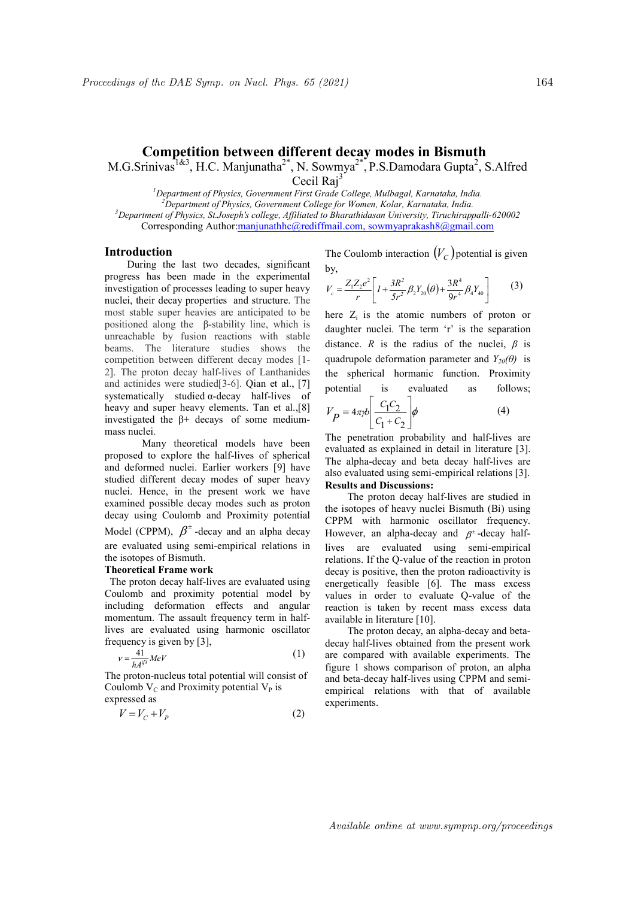# Competition between different decay modes in Bismuth

M.G.Srinivas<sup>1&3</sup>, H.C. Manjunatha<sup>2\*</sup>, N. Sowmya<sup>2\*</sup>, P.S.Damodara Gupta<sup>2</sup>, S.Alfred

Cecil Raj<sup>3</sup>

<sup>1</sup>Department of Physics, Government First Grade College, Mulbagal, Karnataka, India.  $^{2}$ Department of Physics, Government College for Women, Kolar, Karnataka, India.  $3$ Department of Physics, St.Joseph's college, Affiliated to Bharathidasan University, Tiruchirappalli-620002 Corresponding Author:manjunathhc@rediffmail.com, sowmyaprakash8@gmail.com

## Introduction

During the last two decades, significant progress has been made in the experimental investigation of processes leading to super heavy nuclei, their decay properties and structure. The most stable super heavies are anticipated to be positioned along the β-stability line, which is unreachable by fusion reactions with stable beams. The literature studies shows the competition between different decay modes [1- 2]. The proton decay half-lives of Lanthanides and actinides were studied[3-6]. Qian et al., [7] systematically studied α-decay half-lives of heavy and super heavy elements. Tan et al.,[8] investigated the β+ decays of some mediummass nuclei.

Many theoretical models have been proposed to explore the half-lives of spherical and deformed nuclei. Earlier workers [9] have studied different decay modes of super heavy nuclei. Hence, in the present work we have examined possible decay modes such as proton decay using Coulomb and Proximity potential Model (CPPM),  $\beta^{\pm}$ -decay and an alpha decay are evaluated using semi-empirical relations in the isotopes of Bismuth.

#### Theoretical Frame work

 The proton decay half-lives are evaluated using Coulomb and proximity potential model by including deformation effects and angular momentum. The assault frequency term in halflives are evaluated using harmonic oscillator frequency is given by [3],

$$
v = \frac{41}{hA^{1/3}}MeV\tag{1}
$$

 $\overline{a}$ The proton-nucleus total potential will consist of Coulomb  $V_C$  and Proximity potential  $V_P$  is expressed as

$$
V = V_C + V_P \tag{2}
$$

The Coulomb interaction  $(V_C)$  potential is given by,

$$
V_c = \frac{Z_1 Z_2 e^2}{r} \left[ I + \frac{3R^2}{5r^2} \beta_2 Y_{20}(\theta) + \frac{3R^4}{9r^4} \beta_4 Y_{40} \right]
$$
(3)

164<br> **decay modes in Bismuth**<br>
mya<sup>2\*</sup>, P.S.Damodara Gupta<sup>2</sup>, S.Alfred<br>
<sup>3</sup><br>
<sup>3</sup><br>
college, Mulbagal, Karnataka, India.<br>
harathidasan University, Truchinappalli-620002<br>
il.com, sowmyaprakash8@gmail.com<br>
coulomb interactio here  $Z_i$  is the atomic numbers of proton or daughter nuclei. The term 'r' is the separation distance. R is the radius of the nuclei,  $\beta$  is quadrupole deformation parameter and  $Y_{20}(\theta)$  is the spherical hormanic function. Proximity potential is evaluated as follows;

$$
V_P = 4\pi r b \left[ \frac{C_1 C_2}{C_1 + C_2} \right] \phi \tag{4}
$$

The penetration probability and half-lives are evaluated as explained in detail in literature [3]. The alpha-decay and beta decay half-lives are also evaluated using semi-empirical relations [3]. Results and Discussions:

The proton decay half-lives are studied in the isotopes of heavy nuclei Bismuth (Bi) using CPPM with harmonic oscillator frequency. However, an alpha-decay and  $\beta^{\pm}$ -decay halflives are evaluated using semi-empirical relations. If the Q-value of the reaction in proton decay is positive, then the proton radioactivity is energetically feasible [6]. The mass excess values in order to evaluate Q-value of the reaction is taken by recent mass excess data available in literature [10].

The proton decay, an alpha-decay and betadecay half-lives obtained from the present work are compared with available experiments. The figure 1 shows comparison of proton, an alpha and beta-decay half-lives using CPPM and semiempirical relations with that of available experiments.